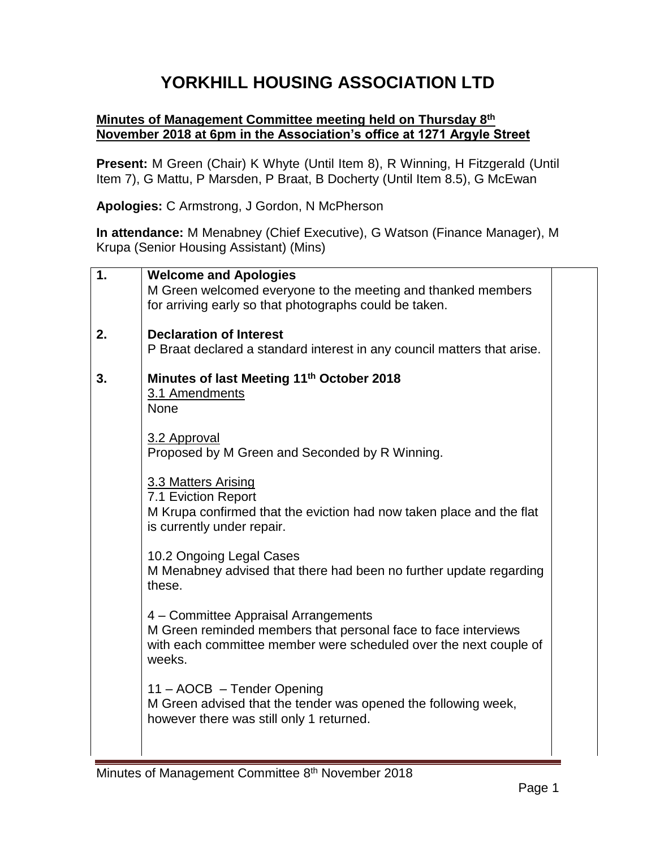## **YORKHILL HOUSING ASSOCIATION LTD**

## **Minutes of Management Committee meeting held on Thursday 8 th November 2018 at 6pm in the Association's office at 1271 Argyle Street**

**Present:** M Green (Chair) K Whyte (Until Item 8), R Winning, H Fitzgerald (Until Item 7), G Mattu, P Marsden, P Braat, B Docherty (Until Item 8.5), G McEwan

**Apologies:** C Armstrong, J Gordon, N McPherson

**In attendance:** M Menabney (Chief Executive), G Watson (Finance Manager), M Krupa (Senior Housing Assistant) (Mins)

| $\mathbf 1$ . | <b>Welcome and Apologies</b>                                                                       |  |
|---------------|----------------------------------------------------------------------------------------------------|--|
|               | M Green welcomed everyone to the meeting and thanked members                                       |  |
|               | for arriving early so that photographs could be taken.                                             |  |
|               |                                                                                                    |  |
| 2.            | <b>Declaration of Interest</b>                                                                     |  |
|               | P Braat declared a standard interest in any council matters that arise.                            |  |
| 3.            | Minutes of last Meeting 11 <sup>th</sup> October 2018                                              |  |
|               | 3.1 Amendments                                                                                     |  |
|               | <b>None</b>                                                                                        |  |
|               |                                                                                                    |  |
|               | 3.2 Approval                                                                                       |  |
|               | Proposed by M Green and Seconded by R Winning.                                                     |  |
|               |                                                                                                    |  |
|               | 3.3 Matters Arising                                                                                |  |
|               | 7.1 Eviction Report                                                                                |  |
|               | M Krupa confirmed that the eviction had now taken place and the flat<br>is currently under repair. |  |
|               |                                                                                                    |  |
|               | 10.2 Ongoing Legal Cases                                                                           |  |
|               | M Menabney advised that there had been no further update regarding                                 |  |
|               | these.                                                                                             |  |
|               |                                                                                                    |  |
|               | 4 – Committee Appraisal Arrangements                                                               |  |
|               | M Green reminded members that personal face to face interviews                                     |  |
|               | with each committee member were scheduled over the next couple of                                  |  |
|               | weeks.                                                                                             |  |
|               | 11 - AOCB - Tender Opening                                                                         |  |
|               | M Green advised that the tender was opened the following week,                                     |  |
|               | however there was still only 1 returned.                                                           |  |
|               |                                                                                                    |  |
|               |                                                                                                    |  |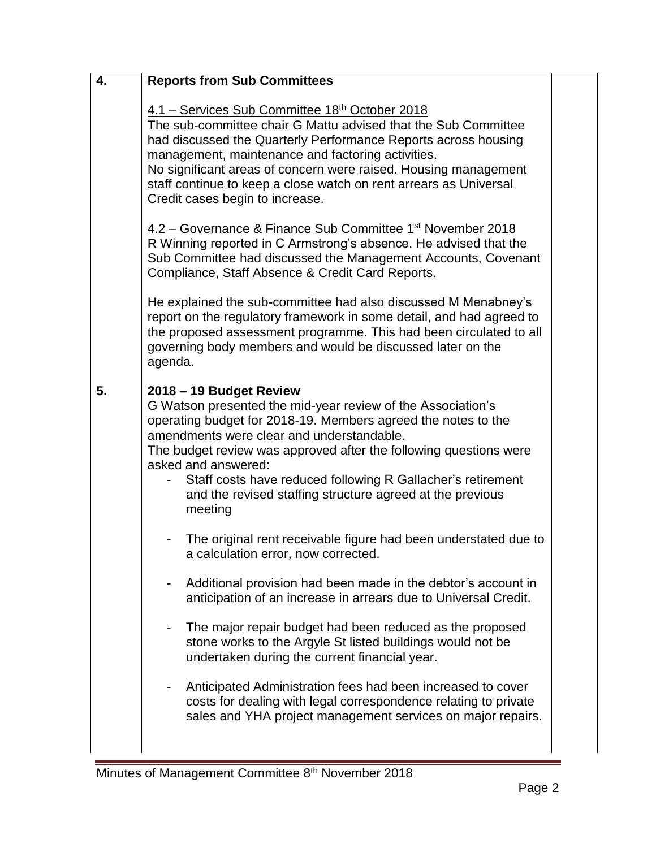| 4. | <b>Reports from Sub Committees</b>                                                                                                                                                                                                                                                                                                                                                                                                      |  |
|----|-----------------------------------------------------------------------------------------------------------------------------------------------------------------------------------------------------------------------------------------------------------------------------------------------------------------------------------------------------------------------------------------------------------------------------------------|--|
|    | 4.1 – Services Sub Committee 18 <sup>th</sup> October 2018<br>The sub-committee chair G Mattu advised that the Sub Committee<br>had discussed the Quarterly Performance Reports across housing<br>management, maintenance and factoring activities.<br>No significant areas of concern were raised. Housing management<br>staff continue to keep a close watch on rent arrears as Universal<br>Credit cases begin to increase.          |  |
|    | 4.2 – Governance & Finance Sub Committee 1 <sup>st</sup> November 2018<br>R Winning reported in C Armstrong's absence. He advised that the<br>Sub Committee had discussed the Management Accounts, Covenant<br>Compliance, Staff Absence & Credit Card Reports.                                                                                                                                                                         |  |
|    | He explained the sub-committee had also discussed M Menabney's<br>report on the regulatory framework in some detail, and had agreed to<br>the proposed assessment programme. This had been circulated to all<br>governing body members and would be discussed later on the<br>agenda.                                                                                                                                                   |  |
| 5. | 2018 - 19 Budget Review<br>G Watson presented the mid-year review of the Association's<br>operating budget for 2018-19. Members agreed the notes to the<br>amendments were clear and understandable.<br>The budget review was approved after the following questions were<br>asked and answered:<br>Staff costs have reduced following R Gallacher's retirement<br>and the revised staffing structure agreed at the previous<br>meeting |  |
|    | The original rent receivable figure had been understated due to<br>a calculation error, now corrected.                                                                                                                                                                                                                                                                                                                                  |  |
|    | Additional provision had been made in the debtor's account in<br>anticipation of an increase in arrears due to Universal Credit.                                                                                                                                                                                                                                                                                                        |  |
|    | The major repair budget had been reduced as the proposed<br>stone works to the Argyle St listed buildings would not be<br>undertaken during the current financial year.                                                                                                                                                                                                                                                                 |  |
|    | Anticipated Administration fees had been increased to cover<br>costs for dealing with legal correspondence relating to private<br>sales and YHA project management services on major repairs.                                                                                                                                                                                                                                           |  |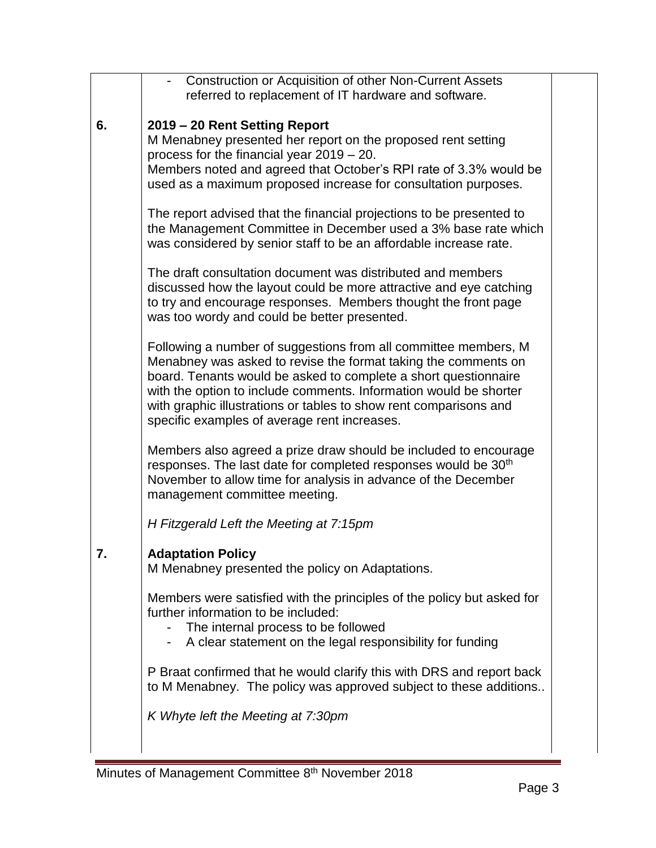|    | <b>Construction or Acquisition of other Non-Current Assets</b>                                                                                                                                                                                                                                                                                                                                 |  |
|----|------------------------------------------------------------------------------------------------------------------------------------------------------------------------------------------------------------------------------------------------------------------------------------------------------------------------------------------------------------------------------------------------|--|
|    | referred to replacement of IT hardware and software.                                                                                                                                                                                                                                                                                                                                           |  |
| 6. | 2019 - 20 Rent Setting Report<br>M Menabney presented her report on the proposed rent setting<br>process for the financial year $2019 - 20$ .<br>Members noted and agreed that October's RPI rate of 3.3% would be<br>used as a maximum proposed increase for consultation purposes.                                                                                                           |  |
|    | The report advised that the financial projections to be presented to<br>the Management Committee in December used a 3% base rate which<br>was considered by senior staff to be an affordable increase rate.                                                                                                                                                                                    |  |
|    | The draft consultation document was distributed and members<br>discussed how the layout could be more attractive and eye catching<br>to try and encourage responses. Members thought the front page<br>was too wordy and could be better presented.                                                                                                                                            |  |
|    | Following a number of suggestions from all committee members, M<br>Menabney was asked to revise the format taking the comments on<br>board. Tenants would be asked to complete a short questionnaire<br>with the option to include comments. Information would be shorter<br>with graphic illustrations or tables to show rent comparisons and<br>specific examples of average rent increases. |  |
|    | Members also agreed a prize draw should be included to encourage<br>responses. The last date for completed responses would be 30 <sup>th</sup><br>November to allow time for analysis in advance of the December<br>management committee meeting.                                                                                                                                              |  |
|    | H Fitzgerald Left the Meeting at 7:15pm                                                                                                                                                                                                                                                                                                                                                        |  |
| 7. | <b>Adaptation Policy</b><br>M Menabney presented the policy on Adaptations.                                                                                                                                                                                                                                                                                                                    |  |
|    | Members were satisfied with the principles of the policy but asked for<br>further information to be included:<br>The internal process to be followed<br>A clear statement on the legal responsibility for funding                                                                                                                                                                              |  |
|    | P Braat confirmed that he would clarify this with DRS and report back<br>to M Menabney. The policy was approved subject to these additions                                                                                                                                                                                                                                                     |  |
|    | K Whyte left the Meeting at 7:30pm                                                                                                                                                                                                                                                                                                                                                             |  |
|    |                                                                                                                                                                                                                                                                                                                                                                                                |  |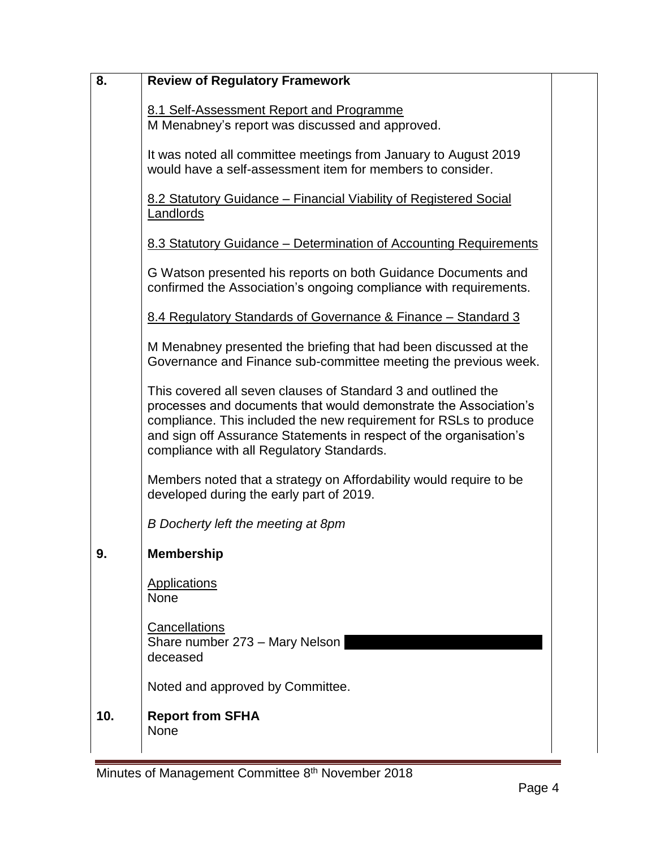| 8.  | <b>Review of Regulatory Framework</b>                                                                                                                                                                                                                                                                                     |  |
|-----|---------------------------------------------------------------------------------------------------------------------------------------------------------------------------------------------------------------------------------------------------------------------------------------------------------------------------|--|
|     | 8.1 Self-Assessment Report and Programme<br>M Menabney's report was discussed and approved.                                                                                                                                                                                                                               |  |
|     | It was noted all committee meetings from January to August 2019<br>would have a self-assessment item for members to consider.                                                                                                                                                                                             |  |
|     | 8.2 Statutory Guidance – Financial Viability of Registered Social<br>Landlords                                                                                                                                                                                                                                            |  |
|     | 8.3 Statutory Guidance – Determination of Accounting Requirements                                                                                                                                                                                                                                                         |  |
|     | G Watson presented his reports on both Guidance Documents and<br>confirmed the Association's ongoing compliance with requirements.                                                                                                                                                                                        |  |
|     | 8.4 Regulatory Standards of Governance & Finance - Standard 3                                                                                                                                                                                                                                                             |  |
|     | M Menabney presented the briefing that had been discussed at the<br>Governance and Finance sub-committee meeting the previous week.                                                                                                                                                                                       |  |
|     | This covered all seven clauses of Standard 3 and outlined the<br>processes and documents that would demonstrate the Association's<br>compliance. This included the new requirement for RSLs to produce<br>and sign off Assurance Statements in respect of the organisation's<br>compliance with all Regulatory Standards. |  |
|     | Members noted that a strategy on Affordability would require to be<br>developed during the early part of 2019.                                                                                                                                                                                                            |  |
|     | B Docherty left the meeting at 8pm                                                                                                                                                                                                                                                                                        |  |
| 9.  | <b>Membership</b>                                                                                                                                                                                                                                                                                                         |  |
|     | <b>Applications</b><br><b>None</b>                                                                                                                                                                                                                                                                                        |  |
|     | Cancellations<br>Share number 273 - Mary Nelson<br>deceased                                                                                                                                                                                                                                                               |  |
|     | Noted and approved by Committee.                                                                                                                                                                                                                                                                                          |  |
| 10. | <b>Report from SFHA</b><br><b>None</b>                                                                                                                                                                                                                                                                                    |  |